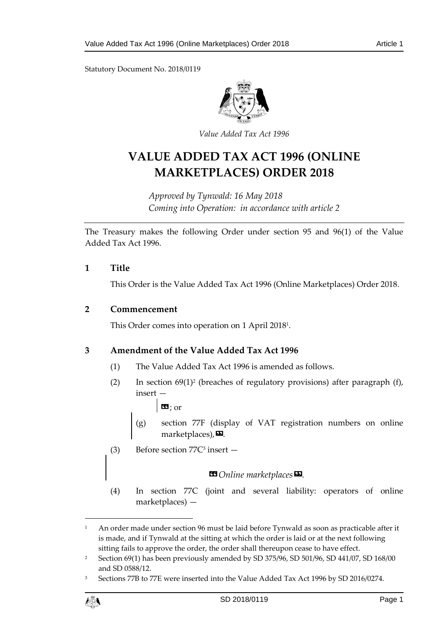Statutory Document No. 2018/0119



*Value Added Tax Act 1996*

# **VALUE ADDED TAX ACT 1996 (ONLINE MARKETPLACES) ORDER 2018**

*Approved by Tynwald: 16 May 2018 Coming into Operation: in accordance with article 2*

The Treasury makes the following Order under section 95 and 96(1) of the Value Added Tax Act 1996.

### **1 Title**

This Order is the Value Added Tax Act 1996 (Online Marketplaces) Order 2018.

### **2 Commencement**

This Order comes into operation on 1 April 2018<sup>1</sup> .

# **3 Amendment of the Value Added Tax Act 1996**

- (1) The Value Added Tax Act 1996 is amended as follows.
- $(2)$  In section  $69(1)^2$  (breaches of regulatory provisions) after paragraph (f), insert —

 $\mathbf{E}$ : or

- (g) section 77F (display of VAT registration numbers on online marketplaces), $\boldsymbol{\mathsf{\Xi}}$ .
- (3) Before section  $77C^3$  insert  $-$

### $\blacksquare$  Online marketplaces  $\blacksquare$ .

(4) In section 77C (joint and several liability: operators of online marketplaces) —

<sup>3</sup> Sections 77B to 77E were inserted into the Value Added Tax Act 1996 by SD 2016/0274.



 $\overline{a}$ 

<sup>&</sup>lt;sup>1</sup> An order made under section 96 must be laid before Tynwald as soon as practicable after it is made, and if Tynwald at the sitting at which the order is laid or at the next following sitting fails to approve the order, the order shall thereupon cease to have effect.

<sup>2</sup> Section 69(1) has been previously amended by SD 375/96, SD 501/96, SD 441/07, SD 168/00 and SD 0588/12.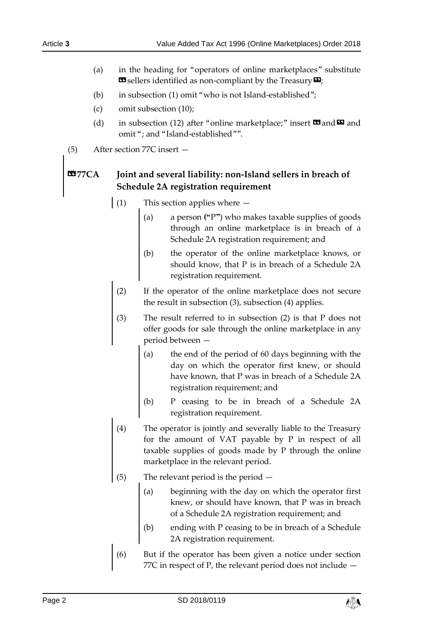- (a) in the heading for "operators of online marketplaces" substitute  $\mathbf{F}$  sellers identified as non-compliant by the Treasury  $\mathbf{F}$ ;
- (b) in subsection (1) omit "who is not Island-established";
- (c) omit subsection (10);
- (d) in subsection (12) after "online marketplace;" insert  $\blacksquare$  and  $\blacksquare$  and omit "; and "Island-established"".
- (5) After section 77C insert —

# **«77CA Joint and several liability: non-Island sellers in breach of Schedule 2A registration requirement**

- (1) This section applies where
	- (a) a person **("**P**"**) who makes taxable supplies of goods through an online marketplace is in breach of a Schedule 2A registration requirement; and
	- (b) the operator of the online marketplace knows, or should know, that P is in breach of a Schedule 2A registration requirement.
	- (2) If the operator of the online marketplace does not secure the result in subsection (3), subsection (4) applies.
	- (3) The result referred to in subsection (2) is that P does not offer goods for sale through the online marketplace in any period between —
		- (a) the end of the period of 60 days beginning with the day on which the operator first knew, or should have known, that P was in breach of a Schedule 2A registration requirement; and
		- (b) P ceasing to be in breach of a Schedule 2A registration requirement.
	- The operator is jointly and severally liable to the Treasury for the amount of VAT payable by P in respect of all taxable supplies of goods made by P through the online marketplace in the relevant period.
- (5) The relevant period is the period
	- (a) beginning with the day on which the operator first knew, or should have known, that P was in breach of a Schedule 2A registration requirement; and
	- (b) ending with P ceasing to be in breach of a Schedule 2A registration requirement.
- (6) But if the operator has been given a notice under section 77C in respect of P, the relevant period does not include —

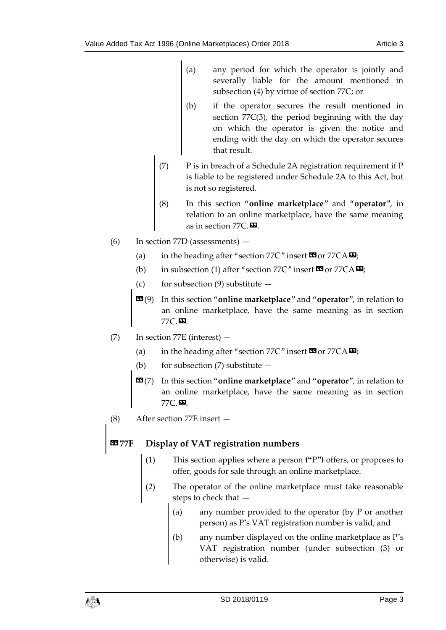- (a) any period for which the operator is jointly and severally liable for the amount mentioned in subsection (4) by virtue of section 77C; or
- (b) if the operator secures the result mentioned in section 77C(3), the period beginning with the day on which the operator is given the notice and ending with the day on which the operator secures that result.
- (7) P is in breach of a Schedule 2A registration requirement if P is liable to be registered under Schedule 2A to this Act, but is not so registered.
- (8) In this section "**online marketplace**" and "**operator**", in relation to an online marketplace, have the same meaning as in section 77C.
- (6) In section 77D (assessments)
	- (a) in the heading after "section  $77C$ " insert  $\text{C3}$  or  $77CA \nightharpoonup$ ;
	- (b) in subsection (1) after "section 77C" insert  $\mathbf{C}$  or 77CA $\mathbf{D}$ ;
	- (c) for subsection (9) substitute  $-$
	- «(9) In this section "**online marketplace**" and "**operator**", in relation to an online marketplace, have the same meaning as in section 77C.».
- (7) In section 77E (interest)
	- (a) in the heading after "section 77C" insert  $\mathbf{C}$  or 77CA $\mathbf{E}$ ;
	- (b) for subsection  $(7)$  substitute  $-$
	- «(7) In this section "**online marketplace**" and "**operator**", in relation to an online marketplace, have the same meaning as in section 77C.».
- (8) After section 77E insert —

# **Display of VAT registration numbers**

- (1) This section applies where a person **("**P**")** offers, or proposes to offer, goods for sale through an online marketplace.
- (2) The operator of the online marketplace must take reasonable steps to check that —
	- (a) any number provided to the operator (by P or another person) as P's VAT registration number is valid; and
	- (b) any number displayed on the online marketplace as P's VAT registration number (under subsection (3) or otherwise) is valid.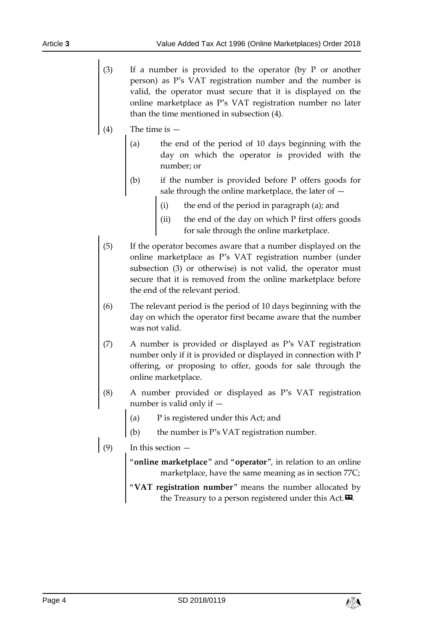- (3) If a number is provided to the operator (by P or another person) as P's VAT registration number and the number is valid, the operator must secure that it is displayed on the online marketplace as P's VAT registration number no later than the time mentioned in subsection (4).
- $(4)$  The time is  $-$ 
	- (a) the end of the period of 10 days beginning with the day on which the operator is provided with the number; or
	- (b) if the number is provided before P offers goods for sale through the online marketplace, the later of —
		- (i) the end of the period in paragraph (a); and
		- the end of the day on which  $P$  first offers goods for sale through the online marketplace.
- (5) If the operator becomes aware that a number displayed on the online marketplace as P's VAT registration number (under subsection (3) or otherwise) is not valid, the operator must secure that it is removed from the online marketplace before the end of the relevant period.
- (6) The relevant period is the period of 10 days beginning with the day on which the operator first became aware that the number was not valid.
- (7) A number is provided or displayed as P's VAT registration number only if it is provided or displayed in connection with P offering, or proposing to offer, goods for sale through the online marketplace.
- (8) A number provided or displayed as P's VAT registration number is valid only if —
	- (a) P is registered under this Act; and
	- (b) the number is P's VAT registration number.
- $\Big|_{(9)}$  In this section  $-$ 
	- "**online marketplace**" and "**operator**", in relation to an online marketplace, have the same meaning as in section 77C;
	- "**VAT registration number**" means the number allocated by the Treasury to a person registered under this Act. $\mathbf{E}$ .

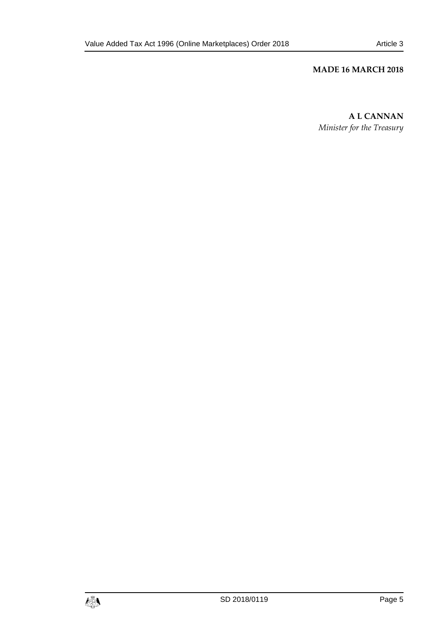# **MADE 16 MARCH 2018**

**A L CANNAN** *Minister for the Treasury*